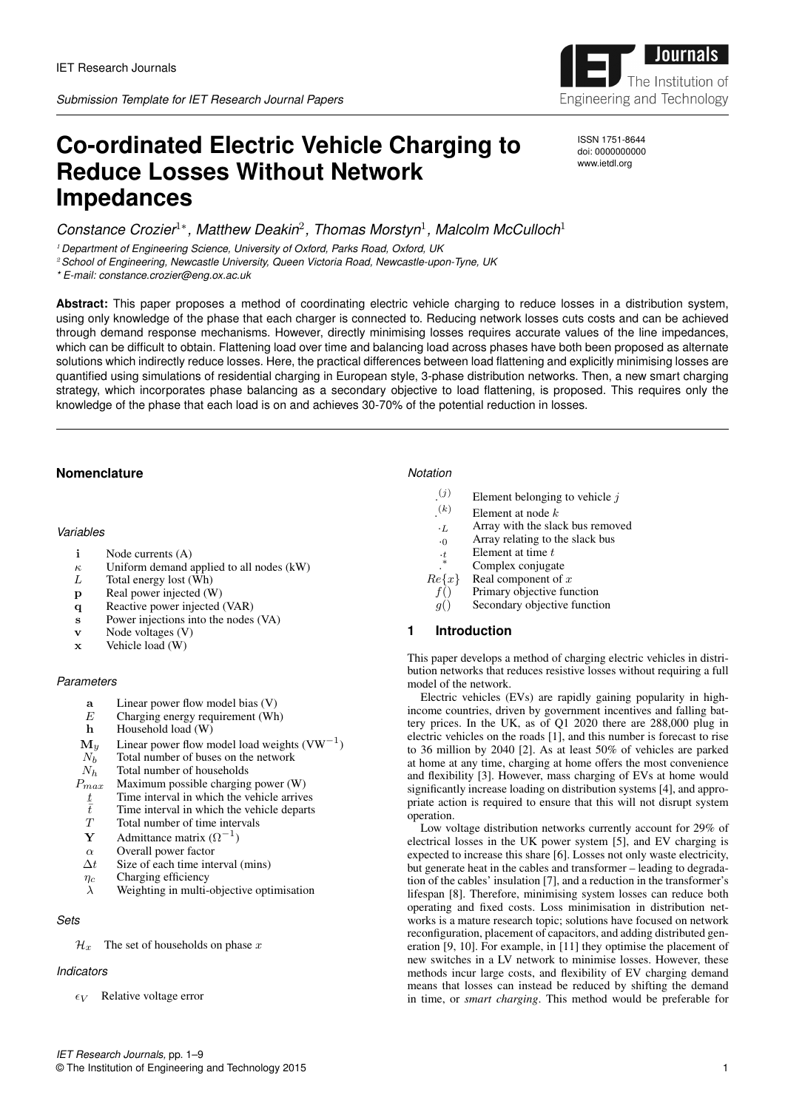

ISSN 1751-8644 doi: 0000000000 www.ietdl.org

# **Co-ordinated Electric Vehicle Charging to Reduce Losses Without Network Impedances**

*Constance Crozier*1<sup>∗</sup> *, Matthew Deakin*<sup>2</sup> *, Thomas Morstyn*<sup>1</sup> *, Malcolm McCulloch*<sup>1</sup>

<sup>1</sup> *Department of Engineering Science, University of Oxford, Parks Road, Oxford, UK*

<sup>2</sup>*School of Engineering, Newcastle University, Queen Victoria Road, Newcastle-upon-Tyne, UK*

*\* E-mail: constance.crozier@eng.ox.ac.uk*

**Abstract:** This paper proposes a method of coordinating electric vehicle charging to reduce losses in a distribution system, using only knowledge of the phase that each charger is connected to. Reducing network losses cuts costs and can be achieved through demand response mechanisms. However, directly minimising losses requires accurate values of the line impedances, which can be difficult to obtain. Flattening load over time and balancing load across phases have both been proposed as alternate solutions which indirectly reduce losses. Here, the practical differences between load flattening and explicitly minimising losses are quantified using simulations of residential charging in European style, 3-phase distribution networks. Then, a new smart charging strategy, which incorporates phase balancing as a secondary objective to load flattening, is proposed. This requires only the knowledge of the phase that each load is on and achieves 30-70% of the potential reduction in losses.

# **Nomenclature**

### *Variables*

- i Node currents (A)
- $\kappa$  Uniform demand applied to all nodes (kW)<br>
L Total energy lost (Wh)
- Total energy lost (Wh)
- p Real power injected (W)
- q Reactive power injected (VAR)
- s Power injections into the nodes (VA)
- v Node voltages (V)
- x Vehicle load (W)

## *Parameters*

- a Linear power flow model bias (V)
- $E$  Charging energy requirement (Wh)
- h Household load (W)
- $\mathbf{M}_y$  Linear power flow model load weights (VW<sup>-1</sup>)
- $N_b$  Total number of buses on the network<br>  $N_h$  Total number of households
- $N_h$  Total number of households<br> $P_{max}$  Maximum possible charging
- Maximum possible charging power  $(W)$
- $rac{t}{\overline{t}}$ Time interval in which the vehicle arrives
- $\bar{t}$  Time interval in which the vehicle departs<br> $T = \text{Total number of time intervals}$
- Total number of time intervals
- **Y** Admittance matrix  $(\Omega^{-1})$
- $\alpha$  Overall power factor
- $\Delta t$  Size of each time interval (mins)
- $\eta_c$  Charging efficiency
- $\lambda$  Weighting in multi-objective optimisation

# *Sets*

 $\mathcal{H}_x$  The set of households on phase x

# *Indicators*

 $\epsilon_V$  Relative voltage error

#### *Notation*

- $(j)$ Element belonging to vehicle  $j$
- . Element at node  $k$
- $\cdot_L$  Array with the slack bus removed
- $\overline{0}$  Array relating to the slack bus
- $\cdot_t$  Element at time  $t$
- . Complex conjugate
- $Re\{x\}$  Real component of x
- $f()$  Primary objective function
- $g()$  Secondary objective function

# **1 Introduction**

This paper develops a method of charging electric vehicles in distribution networks that reduces resistive losses without requiring a full model of the network.

Electric vehicles (EVs) are rapidly gaining popularity in highincome countries, driven by government incentives and falling battery prices. In the UK, as of Q1 2020 there are 288,000 plug in electric vehicles on the roads [1], and this number is forecast to rise to 36 million by 2040 [2]. As at least 50% of vehicles are parked at home at any time, charging at home offers the most convenience and flexibility [3]. However, mass charging of EVs at home would significantly increase loading on distribution systems [4], and appropriate action is required to ensure that this will not disrupt system operation.

Low voltage distribution networks currently account for 29% of electrical losses in the UK power system [5], and EV charging is expected to increase this share [6]. Losses not only waste electricity, but generate heat in the cables and transformer – leading to degradation of the cables' insulation [7], and a reduction in the transformer's lifespan [8]. Therefore, minimising system losses can reduce both operating and fixed costs. Loss minimisation in distribution networks is a mature research topic; solutions have focused on network reconfiguration, placement of capacitors, and adding distributed generation [9, 10]. For example, in [11] they optimise the placement of new switches in a LV network to minimise losses. However, these methods incur large costs, and flexibility of EV charging demand means that losses can instead be reduced by shifting the demand in time, or *smart charging*. This method would be preferable for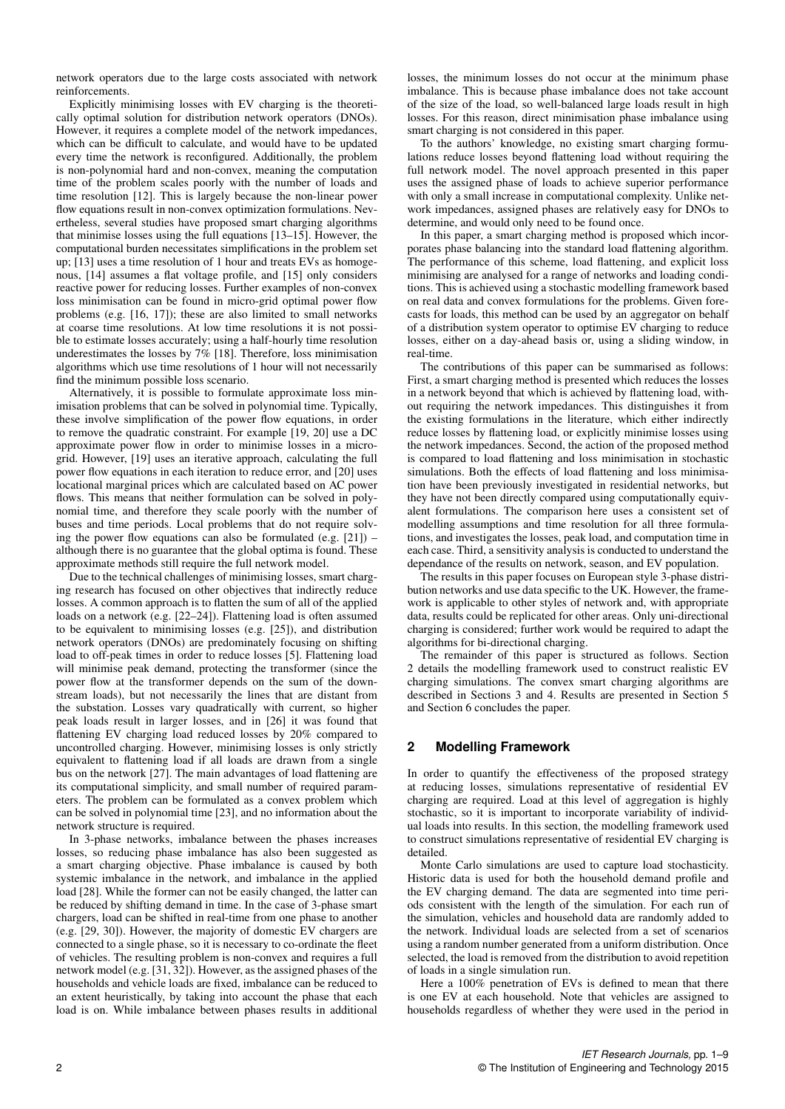network operators due to the large costs associated with network reinforcements.

Explicitly minimising losses with EV charging is the theoretically optimal solution for distribution network operators (DNOs). However, it requires a complete model of the network impedances, which can be difficult to calculate, and would have to be updated every time the network is reconfigured. Additionally, the problem is non-polynomial hard and non-convex, meaning the computation time of the problem scales poorly with the number of loads and time resolution [12]. This is largely because the non-linear power flow equations result in non-convex optimization formulations. Nevertheless, several studies have proposed smart charging algorithms that minimise losses using the full equations [13–15]. However, the computational burden necessitates simplifications in the problem set up; [13] uses a time resolution of 1 hour and treats EVs as homogenous, [14] assumes a flat voltage profile, and [15] only considers reactive power for reducing losses. Further examples of non-convex loss minimisation can be found in micro-grid optimal power flow problems (e.g. [16, 17]); these are also limited to small networks at coarse time resolutions. At low time resolutions it is not possible to estimate losses accurately; using a half-hourly time resolution underestimates the losses by 7% [18]. Therefore, loss minimisation algorithms which use time resolutions of 1 hour will not necessarily find the minimum possible loss scenario.

Alternatively, it is possible to formulate approximate loss minimisation problems that can be solved in polynomial time. Typically, these involve simplification of the power flow equations, in order to remove the quadratic constraint. For example [19, 20] use a DC approximate power flow in order to minimise losses in a microgrid. However, [19] uses an iterative approach, calculating the full power flow equations in each iteration to reduce error, and [20] uses locational marginal prices which are calculated based on AC power flows. This means that neither formulation can be solved in polynomial time, and therefore they scale poorly with the number of buses and time periods. Local problems that do not require solving the power flow equations can also be formulated (e.g.  $[21]$ ) – although there is no guarantee that the global optima is found. These approximate methods still require the full network model.

Due to the technical challenges of minimising losses, smart charging research has focused on other objectives that indirectly reduce losses. A common approach is to flatten the sum of all of the applied loads on a network (e.g. [22–24]). Flattening load is often assumed to be equivalent to minimising losses (e.g. [25]), and distribution network operators (DNOs) are predominately focusing on shifting load to off-peak times in order to reduce losses [5]. Flattening load will minimise peak demand, protecting the transformer (since the power flow at the transformer depends on the sum of the downstream loads), but not necessarily the lines that are distant from the substation. Losses vary quadratically with current, so higher peak loads result in larger losses, and in [26] it was found that flattening EV charging load reduced losses by 20% compared to uncontrolled charging. However, minimising losses is only strictly equivalent to flattening load if all loads are drawn from a single bus on the network [27]. The main advantages of load flattening are its computational simplicity, and small number of required parameters. The problem can be formulated as a convex problem which can be solved in polynomial time [23], and no information about the network structure is required.

In 3-phase networks, imbalance between the phases increases losses, so reducing phase imbalance has also been suggested as a smart charging objective. Phase imbalance is caused by both systemic imbalance in the network, and imbalance in the applied load [28]. While the former can not be easily changed, the latter can be reduced by shifting demand in time. In the case of 3-phase smart chargers, load can be shifted in real-time from one phase to another (e.g. [29, 30]). However, the majority of domestic EV chargers are connected to a single phase, so it is necessary to co-ordinate the fleet of vehicles. The resulting problem is non-convex and requires a full network model (e.g. [31, 32]). However, as the assigned phases of the households and vehicle loads are fixed, imbalance can be reduced to an extent heuristically, by taking into account the phase that each load is on. While imbalance between phases results in additional losses, the minimum losses do not occur at the minimum phase imbalance. This is because phase imbalance does not take account of the size of the load, so well-balanced large loads result in high losses. For this reason, direct minimisation phase imbalance using smart charging is not considered in this paper.

To the authors' knowledge, no existing smart charging formulations reduce losses beyond flattening load without requiring the full network model. The novel approach presented in this paper uses the assigned phase of loads to achieve superior performance with only a small increase in computational complexity. Unlike network impedances, assigned phases are relatively easy for DNOs to determine, and would only need to be found once.

In this paper, a smart charging method is proposed which incorporates phase balancing into the standard load flattening algorithm. The performance of this scheme, load flattening, and explicit loss minimising are analysed for a range of networks and loading conditions. This is achieved using a stochastic modelling framework based on real data and convex formulations for the problems. Given forecasts for loads, this method can be used by an aggregator on behalf of a distribution system operator to optimise EV charging to reduce losses, either on a day-ahead basis or, using a sliding window, in real-time.

The contributions of this paper can be summarised as follows: First, a smart charging method is presented which reduces the losses in a network beyond that which is achieved by flattening load, without requiring the network impedances. This distinguishes it from the existing formulations in the literature, which either indirectly reduce losses by flattening load, or explicitly minimise losses using the network impedances. Second, the action of the proposed method is compared to load flattening and loss minimisation in stochastic simulations. Both the effects of load flattening and loss minimisation have been previously investigated in residential networks, but they have not been directly compared using computationally equivalent formulations. The comparison here uses a consistent set of modelling assumptions and time resolution for all three formulations, and investigates the losses, peak load, and computation time in each case. Third, a sensitivity analysis is conducted to understand the dependance of the results on network, season, and EV population.

The results in this paper focuses on European style 3-phase distribution networks and use data specific to the UK. However, the framework is applicable to other styles of network and, with appropriate data, results could be replicated for other areas. Only uni-directional charging is considered; further work would be required to adapt the algorithms for bi-directional charging.

The remainder of this paper is structured as follows. Section 2 details the modelling framework used to construct realistic EV charging simulations. The convex smart charging algorithms are described in Sections 3 and 4. Results are presented in Section 5 and Section 6 concludes the paper.

# **2 Modelling Framework**

In order to quantify the effectiveness of the proposed strategy at reducing losses, simulations representative of residential EV charging are required. Load at this level of aggregation is highly stochastic, so it is important to incorporate variability of individual loads into results. In this section, the modelling framework used to construct simulations representative of residential EV charging is detailed.

Monte Carlo simulations are used to capture load stochasticity. Historic data is used for both the household demand profile and the EV charging demand. The data are segmented into time periods consistent with the length of the simulation. For each run of the simulation, vehicles and household data are randomly added to the network. Individual loads are selected from a set of scenarios using a random number generated from a uniform distribution. Once selected, the load is removed from the distribution to avoid repetition of loads in a single simulation run.

Here a 100% penetration of EVs is defined to mean that there is one EV at each household. Note that vehicles are assigned to households regardless of whether they were used in the period in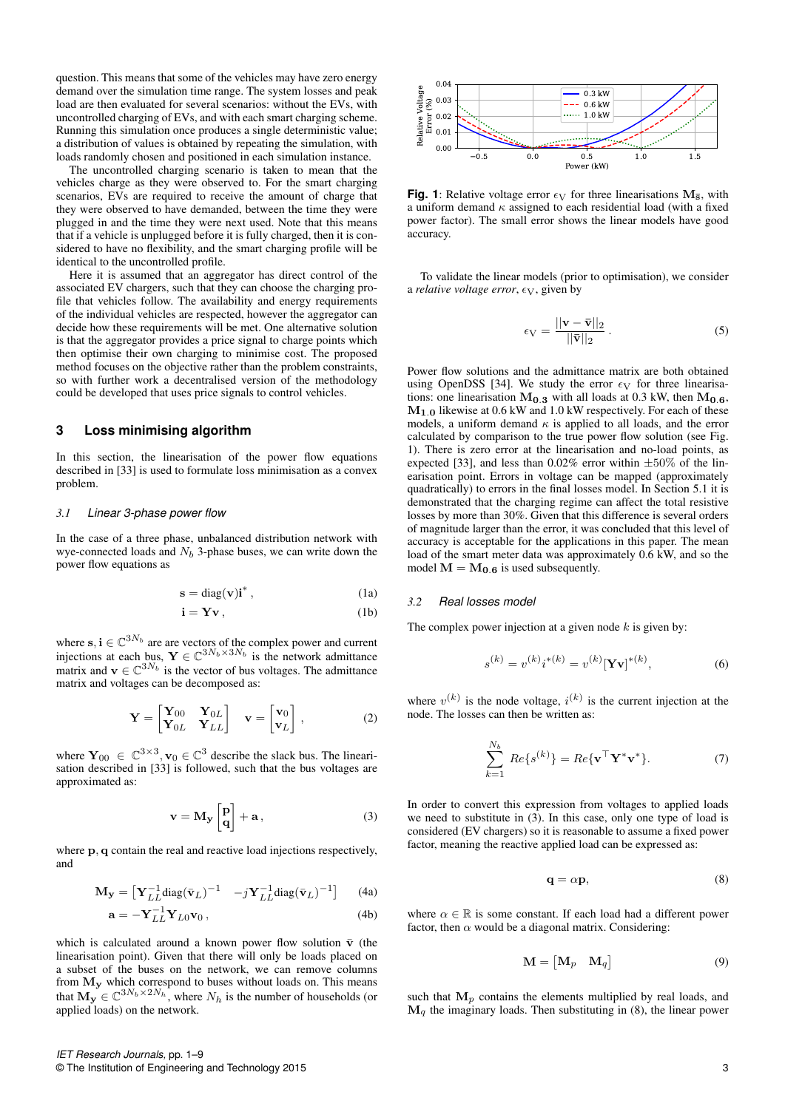question. This means that some of the vehicles may have zero energy demand over the simulation time range. The system losses and peak load are then evaluated for several scenarios: without the EVs, with uncontrolled charging of EVs, and with each smart charging scheme. Running this simulation once produces a single deterministic value; a distribution of values is obtained by repeating the simulation, with loads randomly chosen and positioned in each simulation instance.

The uncontrolled charging scenario is taken to mean that the vehicles charge as they were observed to. For the smart charging scenarios, EVs are required to receive the amount of charge that they were observed to have demanded, between the time they were plugged in and the time they were next used. Note that this means that if a vehicle is unplugged before it is fully charged, then it is considered to have no flexibility, and the smart charging profile will be identical to the uncontrolled profile.

Here it is assumed that an aggregator has direct control of the associated EV chargers, such that they can choose the charging profile that vehicles follow. The availability and energy requirements of the individual vehicles are respected, however the aggregator can decide how these requirements will be met. One alternative solution is that the aggregator provides a price signal to charge points which then optimise their own charging to minimise cost. The proposed method focuses on the objective rather than the problem constraints, so with further work a decentralised version of the methodology could be developed that uses price signals to control vehicles.

## **3 Loss minimising algorithm**

In this section, the linearisation of the power flow equations described in [33] is used to formulate loss minimisation as a convex problem.

#### *3.1 Linear 3-phase power flow*

In the case of a three phase, unbalanced distribution network with wye-connected loads and  $N_b$  3-phase buses, we can write down the power flow equations as

$$
\mathbf{s} = \text{diag}(\mathbf{v})\mathbf{i}^*,\tag{1a}
$$

$$
\mathbf{i} = \mathbf{Yv},\tag{1b}
$$

where  $s, i \in \mathbb{C}^{3N_b}$  are are vectors of the complex power and current injections at each bus,  $\mathbf{Y} \in \mathbb{C}^{3N_b \times 3N_b}$  is the network admittance matrix and  $\mathbf{v} \in \mathbb{C}^{3N_b}$  is the vector of bus voltages. The admittance matrix and voltages can be decomposed as:

$$
\mathbf{Y} = \begin{bmatrix} \mathbf{Y}_{00} & \mathbf{Y}_{0L} \\ \mathbf{Y}_{0L} & \mathbf{Y}_{LL} \end{bmatrix} \quad \mathbf{v} = \begin{bmatrix} \mathbf{v}_0 \\ \mathbf{v}_L \end{bmatrix}, \tag{2}
$$

where  $Y_{00} \in \mathbb{C}^{3 \times 3}$ ,  $v_0 \in \mathbb{C}^3$  describe the slack bus. The linearisation described in [33] is followed, such that the bus voltages are approximated as:

$$
\mathbf{v} = \mathbf{M}_{\mathbf{y}} \begin{bmatrix} \mathbf{p} \\ \mathbf{q} \end{bmatrix} + \mathbf{a},\tag{3}
$$

where  $p$ ,  $q$  contain the real and reactive load injections respectively. and

$$
\mathbf{M}_{\mathbf{y}} = \begin{bmatrix} \mathbf{Y}_{LL}^{-1} \text{diag}(\bar{\mathbf{v}}_L)^{-1} & -j \mathbf{Y}_{LL}^{-1} \text{diag}(\bar{\mathbf{v}}_L)^{-1} \end{bmatrix} \tag{4a}
$$

$$
\mathbf{a} = -\mathbf{Y}_{LL}^{-1} \mathbf{Y}_{L0} \mathbf{v}_0 , \qquad (4b)
$$

which is calculated around a known power flow solution  $\bar{v}$  (the linearisation point). Given that there will only be loads placed on a subset of the buses on the network, we can remove columns from  $M_y$  which correspond to buses without loads on. This means that  $\mathbf{M}_{\mathbf{y}} \in \mathbb{C}^{3N_b \times 2N_h}$ , where  $N_h$  is the number of households (or applied loads) on the network.



**Fig. 1**: Relative voltage error  $\epsilon$ <sub>V</sub> for three linearisations  $M_{\overline{s}}$ , with a uniform demand  $\kappa$  assigned to each residential load (with a fixed power factor). The small error shows the linear models have good accuracy.

To validate the linear models (prior to optimisation), we consider a *relative voltage error*,  $\epsilon$ <sub>V</sub>, given by

$$
\epsilon_{\rm V} = \frac{||\mathbf{v} - \bar{\mathbf{v}}||_2}{||\bar{\mathbf{v}}||_2} \,. \tag{5}
$$

Power flow solutions and the admittance matrix are both obtained using OpenDSS [34]. We study the error  $\epsilon_V$  for three linearisations: one linearisation  $M_{0.3}$  with all loads at 0.3 kW, then  $M_{0.6}$ ,  $M<sub>1.0</sub>$  likewise at 0.6 kW and 1.0 kW respectively. For each of these models, a uniform demand  $\kappa$  is applied to all loads, and the error calculated by comparison to the true power flow solution (see Fig. 1). There is zero error at the linearisation and no-load points, as expected [33], and less than 0.02% error within  $\pm 50\%$  of the linearisation point. Errors in voltage can be mapped (approximately quadratically) to errors in the final losses model. In Section 5.1 it is demonstrated that the charging regime can affect the total resistive losses by more than 30%. Given that this difference is several orders of magnitude larger than the error, it was concluded that this level of accuracy is acceptable for the applications in this paper. The mean load of the smart meter data was approximately 0.6 kW, and so the model  $M = M_{0.6}$  is used subsequently.

#### *3.2 Real losses model*

The complex power injection at a given node  $k$  is given by:

$$
s^{(k)} = v^{(k)} i^{*(k)} = v^{(k)} [\mathbf{Y} \mathbf{v}]^{*(k)}, \tag{6}
$$

where  $v^{(k)}$  is the node voltage,  $i^{(k)}$  is the current injection at the node. The losses can then be written as:

$$
\sum_{k=1}^{N_b} Re\{s^{(k)}\} = Re\{\mathbf{v}^\top \mathbf{Y}^* \mathbf{v}^*\}.
$$
 (7)

In order to convert this expression from voltages to applied loads we need to substitute in (3). In this case, only one type of load is considered (EV chargers) so it is reasonable to assume a fixed power factor, meaning the reactive applied load can be expressed as:

$$
\mathbf{q} = \alpha \mathbf{p},\tag{8}
$$

where  $\alpha \in \mathbb{R}$  is some constant. If each load had a different power factor, then  $\alpha$  would be a diagonal matrix. Considering:

$$
\mathbf{M} = \begin{bmatrix} \mathbf{M}_p & \mathbf{M}_q \end{bmatrix} \tag{9}
$$

such that  $M_p$  contains the elements multiplied by real loads, and  $\mathbf{M}_q$  the imaginary loads. Then substituting in (8), the linear power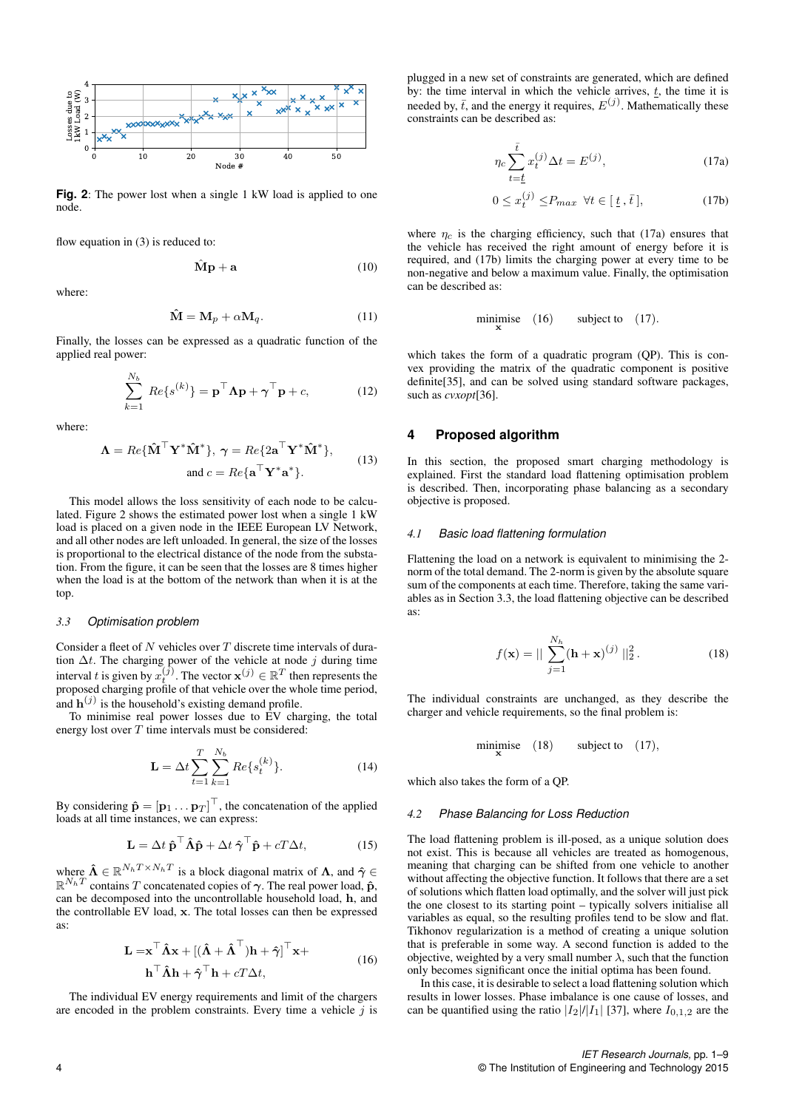

**Fig. 2**: The power lost when a single 1 kW load is applied to one node.

flow equation in (3) is reduced to:

 $\hat{\mathbf{M}}\mathbf{p} + \mathbf{a}$  (10)

where:

$$
\hat{\mathbf{M}} = \mathbf{M}_p + \alpha \mathbf{M}_q. \tag{11}
$$

Finally, the losses can be expressed as a quadratic function of the applied real power:

$$
\sum_{k=1}^{N_b} Re\{s^{(k)}\} = \mathbf{p}^\top \mathbf{\Lambda} \mathbf{p} + \boldsymbol{\gamma}^\top \mathbf{p} + c,\tag{12}
$$

where:

$$
\mathbf{\Lambda} = Re{\{\mathbf{\hat{M}}^\top \mathbf{Y}^* \mathbf{\hat{M}}^*\}}, \ \gamma = Re{2\mathbf{a}^\top \mathbf{Y}^* \mathbf{\hat{M}}^*\},
$$
  
and  $c = Re{\{\mathbf{a}^\top \mathbf{Y}^* \mathbf{a}^*\}}.$  (13)

This model allows the loss sensitivity of each node to be calculated. Figure 2 shows the estimated power lost when a single 1 kW load is placed on a given node in the IEEE European LV Network, and all other nodes are left unloaded. In general, the size of the losses is proportional to the electrical distance of the node from the substation. From the figure, it can be seen that the losses are 8 times higher when the load is at the bottom of the network than when it is at the top.

#### *3.3 Optimisation problem*

Consider a fleet of  $N$  vehicles over  $T$  discrete time intervals of duration  $\Delta t$ . The charging power of the vehicle at node j during time interval t is given by  $x_t^{(j)}$ . The vector  $\mathbf{x}^{(j)} \in \mathbb{R}^T$  then represents the proposed charging profile of that vehicle over the whole time period, and  $\mathbf{h}^{(j)}$  is the household's existing demand profile.

To minimise real power losses due to EV charging, the total energy lost over  $T$  time intervals must be considered:

$$
\mathbf{L} = \Delta t \sum_{t=1}^{T} \sum_{k=1}^{N_b} Re\{s_t^{(k)}\}.
$$
 (14)

By considering  $\hat{\mathbf{p}} = [\mathbf{p}_1 \dots \mathbf{p}_T]^\top$ , the concatenation of the applied loads at all time instances, we can express:

$$
\mathbf{L} = \Delta t \, \hat{\mathbf{p}}^{\top} \hat{\mathbf{\Lambda}} \hat{\mathbf{p}} + \Delta t \, \hat{\boldsymbol{\gamma}}^{\top} \hat{\mathbf{p}} + cT\Delta t,\tag{15}
$$

where  $\hat{\Lambda} \in \mathbb{R}^{N_h T \times N_h T}$  is a block diagonal matrix of  $\Lambda$ , and  $\hat{\gamma} \in$  $\mathbb{R}^{N_h T}$  contains T concatenated copies of  $\gamma$ . The real power load,  $\hat{\mathbf{p}}$ , can be decomposed into the uncontrollable household load, h, and the controllable EV load, x. The total losses can then be expressed as:

$$
\mathbf{L} = \mathbf{x}^{\top} \hat{\mathbf{\Lambda}} \mathbf{x} + [(\hat{\mathbf{\Lambda}} + \hat{\mathbf{\Lambda}}^{\top}) \mathbf{h} + \hat{\boldsymbol{\gamma}}]^{\top} \mathbf{x} + \mathbf{h}^{\top} \hat{\mathbf{\Lambda}} \mathbf{h} + \hat{\boldsymbol{\gamma}}^{\top} \mathbf{h} + cT \Delta t, \qquad (16)
$$

The individual EV energy requirements and limit of the chargers are encoded in the problem constraints. Every time a vehicle  $j$  is

plugged in a new set of constraints are generated, which are defined by: the time interval in which the vehicle arrives,  $t<sub>i</sub>$ , the time it is needed by,  $\bar{t}$ , and the energy it requires,  $E^{(j)}$ . Mathematically these constraints can be described as:

$$
\eta_c \sum_{t=\underline{t}}^{\bar{t}} x_t^{(j)} \Delta t = E^{(j)}, \tag{17a}
$$

$$
0 \le x_t^{(j)} \le P_{max} \ \forall t \in [\underline{t}, \overline{t}], \tag{17b}
$$

where  $\eta_c$  is the charging efficiency, such that (17a) ensures that the vehicle has received the right amount of energy before it is required, and (17b) limits the charging power at every time to be non-negative and below a maximum value. Finally, the optimisation can be described as:

$$
\underset{\mathbf{x}}{\text{minimise}} \quad (16) \qquad \text{subject to} \quad (17).
$$

which takes the form of a quadratic program (QP). This is convex providing the matrix of the quadratic component is positive definite[35], and can be solved using standard software packages, such as *cvxopt*[36].

#### **4 Proposed algorithm**

In this section, the proposed smart charging methodology is explained. First the standard load flattening optimisation problem is described. Then, incorporating phase balancing as a secondary objective is proposed.

#### *4.1 Basic load flattening formulation*

Flattening the load on a network is equivalent to minimising the 2 norm of the total demand. The 2-norm is given by the absolute square sum of the components at each time. Therefore, taking the same variables as in Section 3.3, the load flattening objective can be described as:

$$
f(\mathbf{x}) = || \sum_{j=1}^{N_h} (\mathbf{h} + \mathbf{x})^{(j)} ||_2^2.
$$
 (18)

The individual constraints are unchanged, as they describe the charger and vehicle requirements, so the final problem is:

> minimise x subject to  $(17)$ ,

which also takes the form of a QP.

#### *4.2 Phase Balancing for Loss Reduction*

The load flattening problem is ill-posed, as a unique solution does not exist. This is because all vehicles are treated as homogenous, meaning that charging can be shifted from one vehicle to another without affecting the objective function. It follows that there are a set of solutions which flatten load optimally, and the solver will just pick the one closest to its starting point – typically solvers initialise all variables as equal, so the resulting profiles tend to be slow and flat. Tikhonov regularization is a method of creating a unique solution that is preferable in some way. A second function is added to the objective, weighted by a very small number  $\lambda$ , such that the function only becomes significant once the initial optima has been found.

In this case, it is desirable to select a load flattening solution which results in lower losses. Phase imbalance is one cause of losses, and can be quantified using the ratio  $|I_2|/|I_1|$  [37], where  $I_{0,1,2}$  are the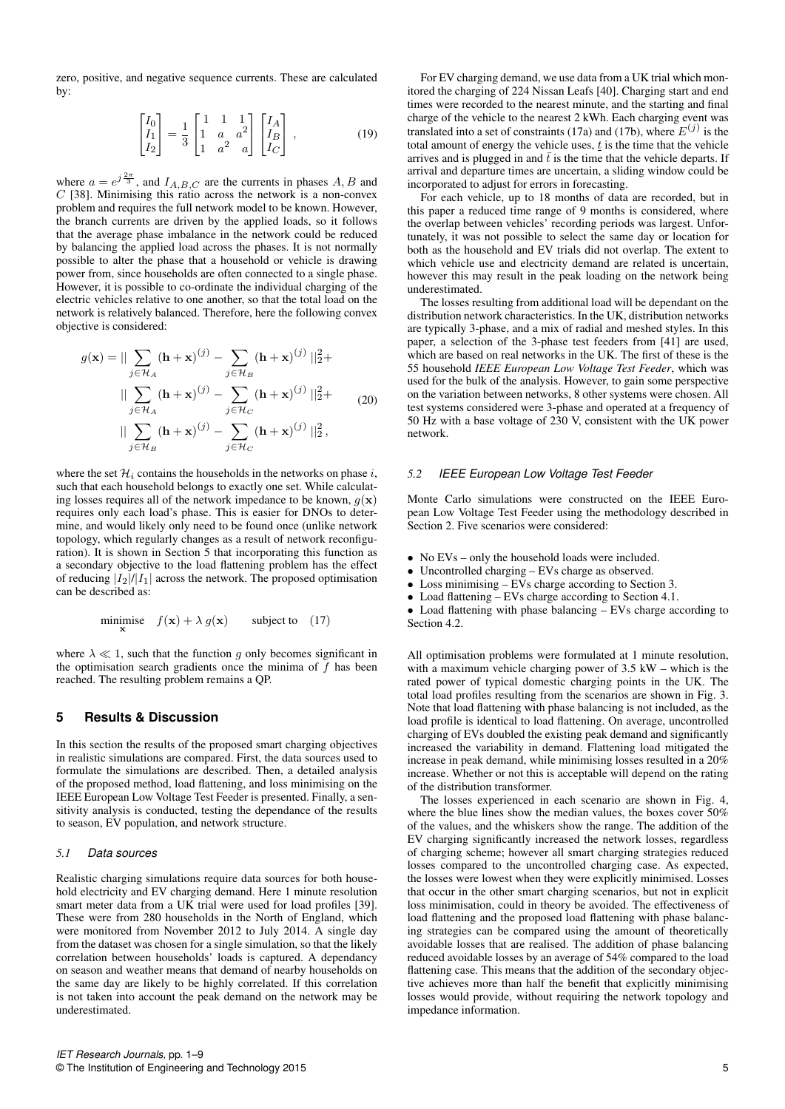zero, positive, and negative sequence currents. These are calculated by:

$$
\begin{bmatrix} I_0 \\ I_1 \\ I_2 \end{bmatrix} = \frac{1}{3} \begin{bmatrix} 1 & 1 & 1 \\ 1 & a & a^2 \\ 1 & a^2 & a \end{bmatrix} \begin{bmatrix} I_A \\ I_B \\ I_C \end{bmatrix} ,
$$
 (19)

where  $a = e^{j\frac{2\pi}{3}}$ , and  $I_{A,B,C}$  are the currents in phases  $A, B$  and  $C$  [38]. Minimising this ratio across the network is a non-convex problem and requires the full network model to be known. However, the branch currents are driven by the applied loads, so it follows that the average phase imbalance in the network could be reduced by balancing the applied load across the phases. It is not normally possible to alter the phase that a household or vehicle is drawing power from, since households are often connected to a single phase. However, it is possible to co-ordinate the individual charging of the electric vehicles relative to one another, so that the total load on the network is relatively balanced. Therefore, here the following convex objective is considered:

$$
g(\mathbf{x}) = || \sum_{j \in \mathcal{H}_A} (\mathbf{h} + \mathbf{x})^{(j)} - \sum_{j \in \mathcal{H}_B} (\mathbf{h} + \mathbf{x})^{(j)} ||_2^2 +
$$
  
\n
$$
|| \sum_{j \in \mathcal{H}_A} (\mathbf{h} + \mathbf{x})^{(j)} - \sum_{j \in \mathcal{H}_C} (\mathbf{h} + \mathbf{x})^{(j)} ||_2^2 +
$$
  
\n
$$
|| \sum_{j \in \mathcal{H}_B} (\mathbf{h} + \mathbf{x})^{(j)} - \sum_{j \in \mathcal{H}_C} (\mathbf{h} + \mathbf{x})^{(j)} ||_2^2,
$$
 (20)

where the set  $\mathcal{H}_i$  contains the households in the networks on phase i, such that each household belongs to exactly one set. While calculating losses requires all of the network impedance to be known,  $q(\mathbf{x})$ requires only each load's phase. This is easier for DNOs to determine, and would likely only need to be found once (unlike network topology, which regularly changes as a result of network reconfiguration). It is shown in Section 5 that incorporating this function as a secondary objective to the load flattening problem has the effect of reducing  $|I_2|/|I_1|$  across the network. The proposed optimisation can be described as:

minimise 
$$
f(\mathbf{x}) + \lambda g(\mathbf{x})
$$
 subject to (17)

where  $\lambda \ll 1$ , such that the function g only becomes significant in the optimisation search gradients once the minima of  $f$  has been reached. The resulting problem remains a QP.

# **5 Results & Discussion**

In this section the results of the proposed smart charging objectives in realistic simulations are compared. First, the data sources used to formulate the simulations are described. Then, a detailed analysis of the proposed method, load flattening, and loss minimising on the IEEE European Low Voltage Test Feeder is presented. Finally, a sensitivity analysis is conducted, testing the dependance of the results to season, EV population, and network structure.

#### *5.1 Data sources*

Realistic charging simulations require data sources for both household electricity and EV charging demand. Here 1 minute resolution smart meter data from a UK trial were used for load profiles [39]. These were from 280 households in the North of England, which were monitored from November 2012 to July 2014. A single day from the dataset was chosen for a single simulation, so that the likely correlation between households' loads is captured. A dependancy on season and weather means that demand of nearby households on the same day are likely to be highly correlated. If this correlation is not taken into account the peak demand on the network may be underestimated.

For EV charging demand, we use data from a UK trial which monitored the charging of 224 Nissan Leafs [40]. Charging start and end times were recorded to the nearest minute, and the starting and final charge of the vehicle to the nearest 2 kWh. Each charging event was translated into a set of constraints (17a) and (17b), where  $E^{(j)}$  is the total amount of energy the vehicle uses,  $t$  is the time that the vehicle arrives and is plugged in and  $\bar{t}$  is the time that the vehicle departs. If arrival and departure times are uncertain, a sliding window could be incorporated to adjust for errors in forecasting.

For each vehicle, up to 18 months of data are recorded, but in this paper a reduced time range of 9 months is considered, where the overlap between vehicles' recording periods was largest. Unfortunately, it was not possible to select the same day or location for both as the household and EV trials did not overlap. The extent to which vehicle use and electricity demand are related is uncertain, however this may result in the peak loading on the network being underestimated.

The losses resulting from additional load will be dependant on the distribution network characteristics. In the UK, distribution networks are typically 3-phase, and a mix of radial and meshed styles. In this paper, a selection of the 3-phase test feeders from [41] are used, which are based on real networks in the UK. The first of these is the 55 household *IEEE European Low Voltage Test Feeder*, which was used for the bulk of the analysis. However, to gain some perspective on the variation between networks, 8 other systems were chosen. All test systems considered were 3-phase and operated at a frequency of 50 Hz with a base voltage of 230 V, consistent with the UK power network.

#### *5.2 IEEE European Low Voltage Test Feeder*

Monte Carlo simulations were constructed on the IEEE European Low Voltage Test Feeder using the methodology described in Section 2. Five scenarios were considered:

- No EVs only the household loads were included.
- Uncontrolled charging EVs charge as observed.
- Loss minimising EVs charge according to Section 3.
- Load flattening EVs charge according to Section 4.1.

• Load flattening with phase balancing – EVs charge according to Section 4.2.

All optimisation problems were formulated at 1 minute resolution, with a maximum vehicle charging power of 3.5 kW – which is the rated power of typical domestic charging points in the UK. The total load profiles resulting from the scenarios are shown in Fig. 3. Note that load flattening with phase balancing is not included, as the load profile is identical to load flattening. On average, uncontrolled charging of EVs doubled the existing peak demand and significantly increased the variability in demand. Flattening load mitigated the increase in peak demand, while minimising losses resulted in a 20% increase. Whether or not this is acceptable will depend on the rating of the distribution transformer.

The losses experienced in each scenario are shown in Fig. 4, where the blue lines show the median values, the boxes cover 50% of the values, and the whiskers show the range. The addition of the EV charging significantly increased the network losses, regardless of charging scheme; however all smart charging strategies reduced losses compared to the uncontrolled charging case. As expected, the losses were lowest when they were explicitly minimised. Losses that occur in the other smart charging scenarios, but not in explicit loss minimisation, could in theory be avoided. The effectiveness of load flattening and the proposed load flattening with phase balancing strategies can be compared using the amount of theoretically avoidable losses that are realised. The addition of phase balancing reduced avoidable losses by an average of 54% compared to the load flattening case. This means that the addition of the secondary objective achieves more than half the benefit that explicitly minimising losses would provide, without requiring the network topology and impedance information.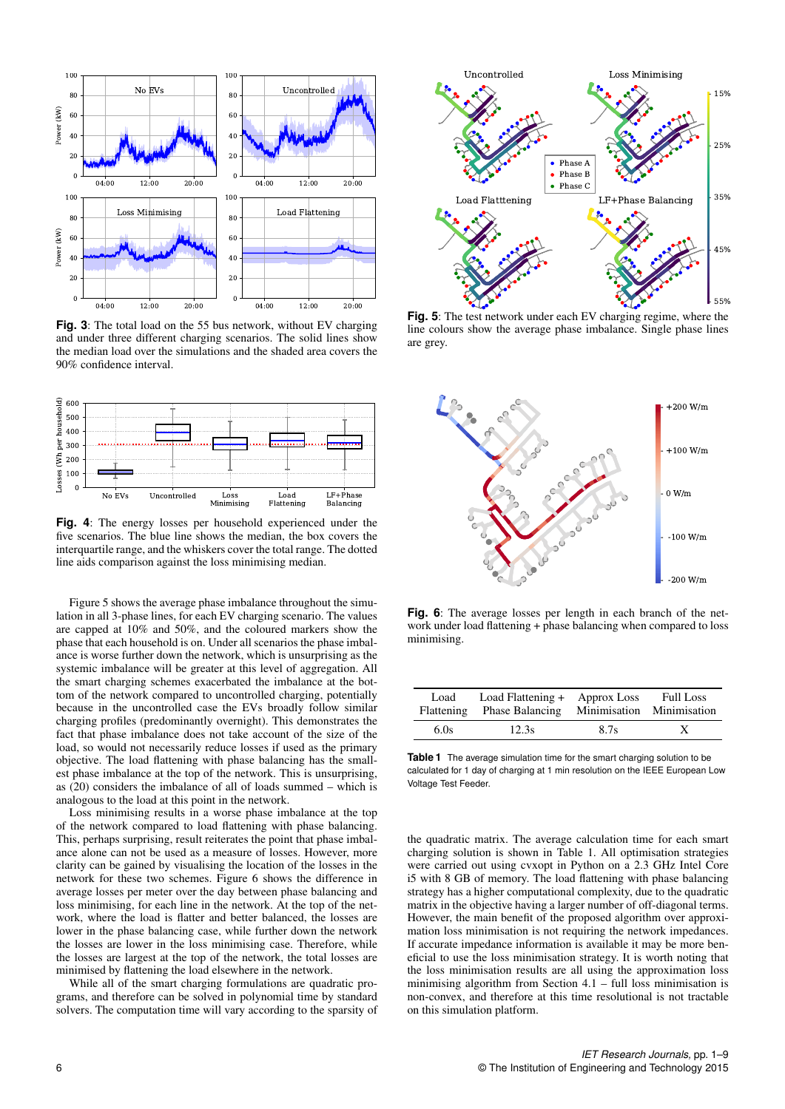

**Fig. 3**: The total load on the 55 bus network, without EV charging and under three different charging scenarios. The solid lines show the median load over the simulations and the shaded area covers the 90% confidence interval.



**Fig. 4**: The energy losses per household experienced under the five scenarios. The blue line shows the median, the box covers the interquartile range, and the whiskers cover the total range. The dotted line aids comparison against the loss minimising median.

Figure 5 shows the average phase imbalance throughout the simulation in all 3-phase lines, for each EV charging scenario. The values are capped at 10% and 50%, and the coloured markers show the phase that each household is on. Under all scenarios the phase imbalance is worse further down the network, which is unsurprising as the systemic imbalance will be greater at this level of aggregation. All the smart charging schemes exacerbated the imbalance at the bottom of the network compared to uncontrolled charging, potentially because in the uncontrolled case the EVs broadly follow similar charging profiles (predominantly overnight). This demonstrates the fact that phase imbalance does not take account of the size of the load, so would not necessarily reduce losses if used as the primary objective. The load flattening with phase balancing has the smallest phase imbalance at the top of the network. This is unsurprising, as  $(20)$  considers the imbalance of all of loads summed – which is analogous to the load at this point in the network.

Loss minimising results in a worse phase imbalance at the top of the network compared to load flattening with phase balancing. This, perhaps surprising, result reiterates the point that phase imbalance alone can not be used as a measure of losses. However, more clarity can be gained by visualising the location of the losses in the network for these two schemes. Figure 6 shows the difference in average losses per meter over the day between phase balancing and loss minimising, for each line in the network. At the top of the network, where the load is flatter and better balanced, the losses are lower in the phase balancing case, while further down the network the losses are lower in the loss minimising case. Therefore, while the losses are largest at the top of the network, the total losses are minimised by flattening the load elsewhere in the network.

While all of the smart charging formulations are quadratic programs, and therefore can be solved in polynomial time by standard solvers. The computation time will vary according to the sparsity of



**Fig. 5**: The test network under each EV charging regime, where the line colours show the average phase imbalance. Single phase lines are grey.



**Fig. 6**: The average losses per length in each branch of the network under load flattening + phase balancing when compared to loss minimising.

| Load | Load Flattening + Approx Loss<br>Flattening Phase Balancing Minimisation Minimisation |      | <b>Full Loss</b> |
|------|---------------------------------------------------------------------------------------|------|------------------|
| 6.0s | 12.3s                                                                                 | 8.7s | X                |

**Table 1** The average simulation time for the smart charging solution to be calculated for 1 day of charging at 1 min resolution on the IEEE European Low Voltage Test Feeder.

the quadratic matrix. The average calculation time for each smart charging solution is shown in Table 1. All optimisation strategies were carried out using cvxopt in Python on a 2.3 GHz Intel Core i5 with 8 GB of memory. The load flattening with phase balancing strategy has a higher computational complexity, due to the quadratic matrix in the objective having a larger number of off-diagonal terms. However, the main benefit of the proposed algorithm over approximation loss minimisation is not requiring the network impedances. If accurate impedance information is available it may be more beneficial to use the loss minimisation strategy. It is worth noting that the loss minimisation results are all using the approximation loss minimising algorithm from Section 4.1 – full loss minimisation is non-convex, and therefore at this time resolutional is not tractable on this simulation platform.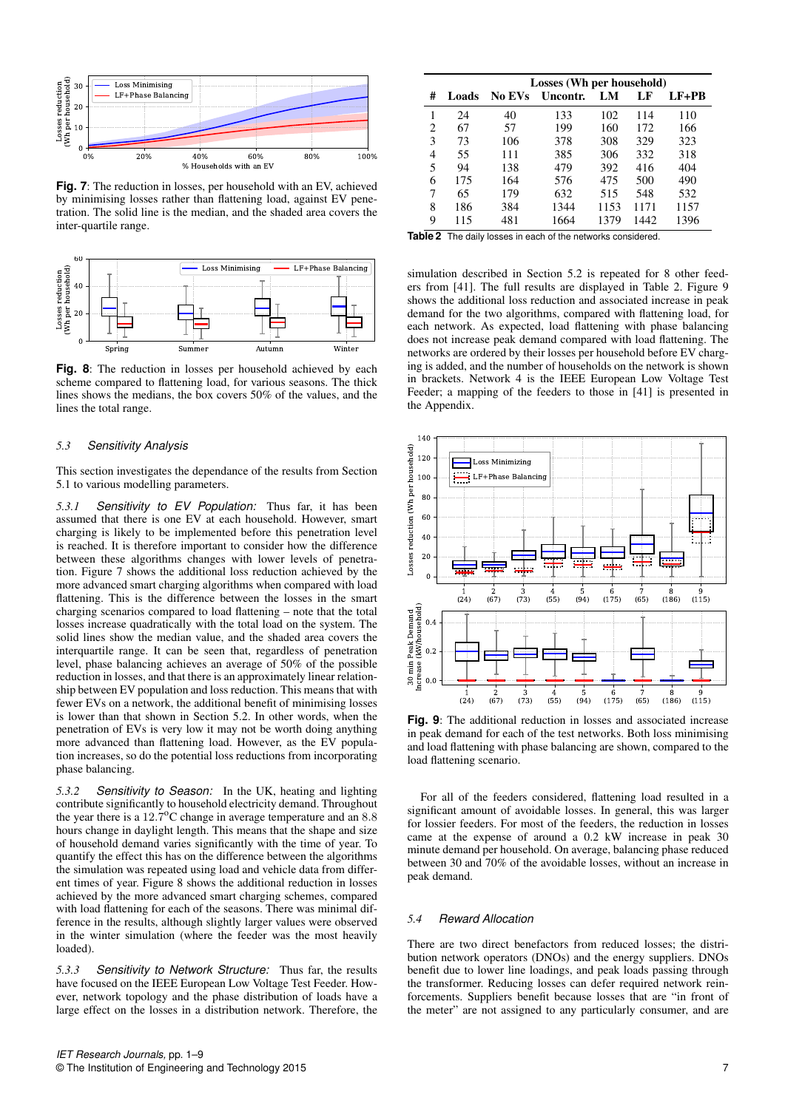

**Fig. 7**: The reduction in losses, per household with an EV, achieved by minimising losses rather than flattening load, against EV penetration. The solid line is the median, and the shaded area covers the inter-quartile range.



**Fig. 8**: The reduction in losses per household achieved by each scheme compared to flattening load, for various seasons. The thick lines shows the medians, the box covers 50% of the values, and the lines the total range.

#### *5.3 Sensitivity Analysis*

This section investigates the dependance of the results from Section 5.1 to various modelling parameters.

*5.3.1 Sensitivity to EV Population:* Thus far, it has been assumed that there is one EV at each household. However, smart charging is likely to be implemented before this penetration level is reached. It is therefore important to consider how the difference between these algorithms changes with lower levels of penetration. Figure 7 shows the additional loss reduction achieved by the more advanced smart charging algorithms when compared with load flattening. This is the difference between the losses in the smart charging scenarios compared to load flattening – note that the total losses increase quadratically with the total load on the system. The solid lines show the median value, and the shaded area covers the interquartile range. It can be seen that, regardless of penetration level, phase balancing achieves an average of 50% of the possible reduction in losses, and that there is an approximately linear relationship between EV population and loss reduction. This means that with fewer EVs on a network, the additional benefit of minimising losses is lower than that shown in Section 5.2. In other words, when the penetration of EVs is very low it may not be worth doing anything more advanced than flattening load. However, as the EV population increases, so do the potential loss reductions from incorporating phase balancing.

*5.3.2 Sensitivity to Season:* In the UK, heating and lighting contribute significantly to household electricity demand. Throughout the year there is a 12.7°C change in average temperature and an 8.8 hours change in daylight length. This means that the shape and size of household demand varies significantly with the time of year. To quantify the effect this has on the difference between the algorithms the simulation was repeated using load and vehicle data from different times of year. Figure 8 shows the additional reduction in losses achieved by the more advanced smart charging schemes, compared with load flattening for each of the seasons. There was minimal difference in the results, although slightly larger values were observed in the winter simulation (where the feeder was the most heavily loaded).

*5.3.3 Sensitivity to Network Structure:* Thus far, the results have focused on the IEEE European Low Voltage Test Feeder. However, network topology and the phase distribution of loads have a large effect on the losses in a distribution network. Therefore, the

|   |       | Losses (Wh per household) |          |      |      |       |  |
|---|-------|---------------------------|----------|------|------|-------|--|
| # | Loads | No EVs                    | Uncontr. | LM   | LF   | LF+PB |  |
|   | 24    | 40                        | 133      | 102  | 114  | 110   |  |
| 2 | 67    | 57                        | 199      | 160  | 172  | 166   |  |
| 3 | 73    | 106                       | 378      | 308  | 329  | 323   |  |
| 4 | 55    | 111                       | 385      | 306  | 332  | 318   |  |
| 5 | 94    | 138                       | 479      | 392  | 416  | 404   |  |
| 6 | 175   | 164                       | 576      | 475  | 500  | 490   |  |
| 7 | 65    | 179                       | 632      | 515  | 548  | 532   |  |
| 8 | 186   | 384                       | 1344     | 1153 | 1171 | 1157  |  |
| 9 | 115   | 481                       | 1664     | 1379 | 1442 | 1396  |  |

**Table 2** The daily losses in each of the networks considered.

simulation described in Section 5.2 is repeated for 8 other feeders from [41]. The full results are displayed in Table 2. Figure 9 shows the additional loss reduction and associated increase in peak demand for the two algorithms, compared with flattening load, for each network. As expected, load flattening with phase balancing does not increase peak demand compared with load flattening. The networks are ordered by their losses per household before EV charging is added, and the number of households on the network is shown in brackets. Network 4 is the IEEE European Low Voltage Test Feeder; a mapping of the feeders to those in [41] is presented in the Appendix.



**Fig. 9**: The additional reduction in losses and associated increase in peak demand for each of the test networks. Both loss minimising and load flattening with phase balancing are shown, compared to the load flattening scenario.

For all of the feeders considered, flattening load resulted in a significant amount of avoidable losses. In general, this was larger for lossier feeders. For most of the feeders, the reduction in losses came at the expense of around a 0.2 kW increase in peak 30 minute demand per household. On average, balancing phase reduced between 30 and 70% of the avoidable losses, without an increase in peak demand.

#### *5.4 Reward Allocation*

There are two direct benefactors from reduced losses; the distribution network operators (DNOs) and the energy suppliers. DNOs benefit due to lower line loadings, and peak loads passing through the transformer. Reducing losses can defer required network reinforcements. Suppliers benefit because losses that are "in front of the meter" are not assigned to any particularly consumer, and are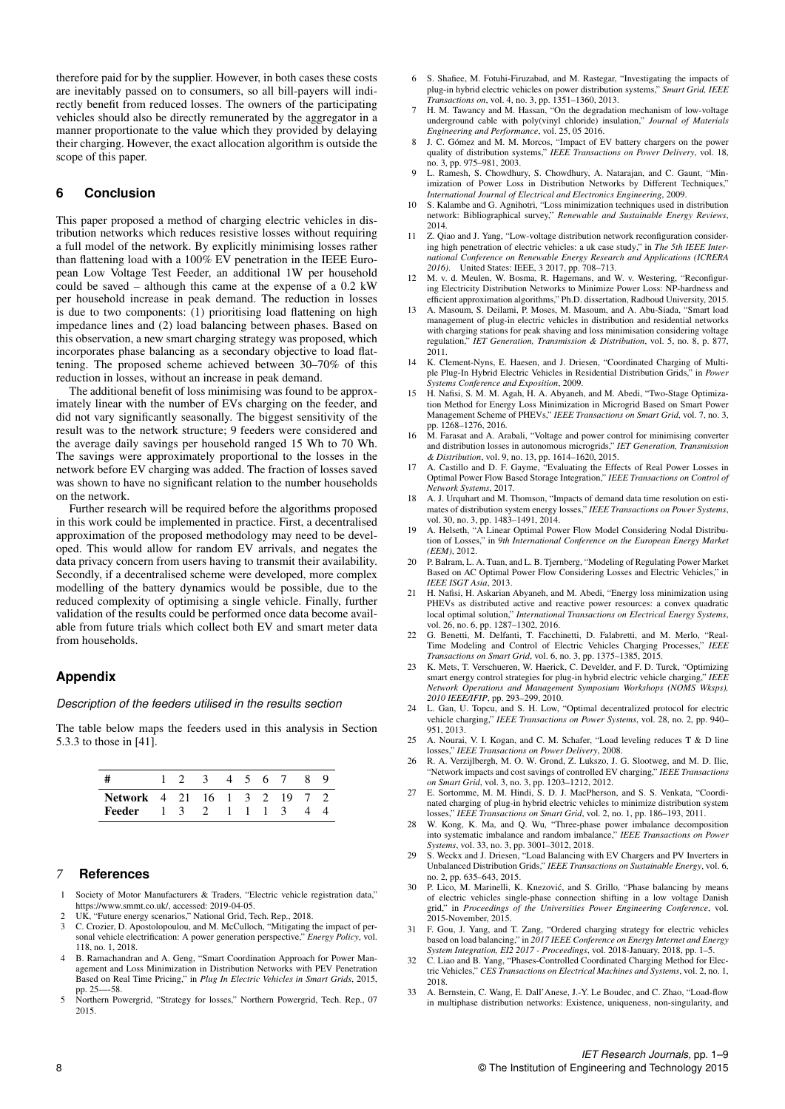therefore paid for by the supplier. However, in both cases these costs are inevitably passed on to consumers, so all bill-payers will indirectly benefit from reduced losses. The owners of the participating vehicles should also be directly remunerated by the aggregator in a manner proportionate to the value which they provided by delaying their charging. However, the exact allocation algorithm is outside the scope of this paper.

# **6 Conclusion**

This paper proposed a method of charging electric vehicles in distribution networks which reduces resistive losses without requiring a full model of the network. By explicitly minimising losses rather than flattening load with a 100% EV penetration in the IEEE European Low Voltage Test Feeder, an additional 1W per household could be saved – although this came at the expense of a 0.2 kW per household increase in peak demand. The reduction in losses is due to two components: (1) prioritising load flattening on high impedance lines and (2) load balancing between phases. Based on this observation, a new smart charging strategy was proposed, which incorporates phase balancing as a secondary objective to load flattening. The proposed scheme achieved between 30–70% of this reduction in losses, without an increase in peak demand.

The additional benefit of loss minimising was found to be approximately linear with the number of EVs charging on the feeder, and did not vary significantly seasonally. The biggest sensitivity of the result was to the network structure; 9 feeders were considered and the average daily savings per household ranged 15 Wh to 70 Wh. The savings were approximately proportional to the losses in the network before EV charging was added. The fraction of losses saved was shown to have no significant relation to the number households on the network.

Further research will be required before the algorithms proposed in this work could be implemented in practice. First, a decentralised approximation of the proposed methodology may need to be developed. This would allow for random EV arrivals, and negates the data privacy concern from users having to transmit their availability. Secondly, if a decentralised scheme were developed, more complex modelling of the battery dynamics would be possible, due to the reduced complexity of optimising a single vehicle. Finally, further validation of the results could be performed once data become available from future trials which collect both EV and smart meter data from households.

## **Appendix**

#### *Description of the feeders utilised in the results section*

The table below maps the feeders used in this analysis in Section 5.3.3 to those in [41].

|                                     |  | 1 2 3 4 5 6 7 |  |  | -8 |  |
|-------------------------------------|--|---------------|--|--|----|--|
| <b>Network</b> 4 21 16 1 3 2 19 7 2 |  |               |  |  |    |  |
| Feeder 1 3 2 1 1 1 3                |  |               |  |  |    |  |

## *7* **References**

- Society of Motor Manufacturers & Traders, "Electric vehicle registration data," https://www.smmt.co.uk/, accessed: 2019-04-05.
- 2 UK, "Future energy scenarios," National Grid, Tech. Rep., 2018.
- 3 C. Crozier, D. Apostolopoulou, and M. McCulloch, "Mitigating the impact of personal vehicle electrification: A power generation perspective," *Energy Policy*, vol. 118, no. 1, 2018.
- B. Ramachandran and A. Geng, "Smart Coordination Approach for Power Management and Loss Minimization in Distribution Networks with PEV Penetration Based on Real Time Pricing," in *Plug In Electric Vehicles in Smart Grids*, 2015, pp. 25—-58.
- 5 Northern Powergrid, "Strategy for losses," Northern Powergrid, Tech. Rep., 07 2015.
- 6 S. Shafiee, M. Fotuhi-Firuzabad, and M. Rastegar, "Investigating the impacts of plug-in hybrid electric vehicles on power distribution systems," *Smart Grid, IEEE Transactions on*, vol. 4, no. 3, pp. 1351–1360, 2013.
- H. M. Tawancy and M. Hassan, "On the degradation mechanism of low-voltage underground cable with poly(vinyl chloride) insulation," *Journal of Materials Engineering and Performance*, vol. 25, 05 2016.
- 8 J. C. Gómez and M. M. Morcos, "Impact of EV battery chargers on the power quality of distribution systems," *IEEE Transactions on Power Delivery*, vol. 18, no. 3, pp. 975–981, 2003.
- L. Ramesh, S. Chowdhury, S. Chowdhury, A. Natarajan, and C. Gaunt, "Minimization of Power Loss in Distribution Networks by Different Techniques,' *International Journal of Electrical and Electronics Engineering*, 2009.
- 10 S. Kalambe and G. Agnihotri, "Loss minimization techniques used in distribution network: Bibliographical survey," *Renewable and Sustainable Energy Reviews*, 2014.
- 11 Z. Qiao and J. Yang, "Low-voltage distribution network reconfiguration considering high penetration of electric vehicles: a uk case study," in *The 5th IEEE International Conference on Renewable Energy Research and Applications (ICRERA 2016)*. United States: IEEE, 3 2017, pp. 708–713.
- M. v. d. Meulen, W. Bosma, R. Hagemans, and W. v. Westering, "Reconfiguring Electricity Distribution Networks to Minimize Power Loss: NP-hardness and efficient approximation algorithms," Ph.D. dissertation, Radboud University, 2015.
- A. Masoum, S. Deilami, P. Moses, M. Masoum, and A. Abu-Siada, "Smart load management of plug-in electric vehicles in distribution and residential networks with charging stations for peak shaving and loss minimisation considering voltage regulation," *IET Generation, Transmission & Distribution*, vol. 5, no. 8, p. 877, 2011.
- 14 K. Clement-Nyns, E. Haesen, and J. Driesen, "Coordinated Charging of Multiple Plug-In Hybrid Electric Vehicles in Residential Distribution Grids," in *Power Systems Conference and Exposition*, 2009.
- 15 H. Nafisi, S. M. M. Agah, H. A. Abyaneh, and M. Abedi, "Two-Stage Optimization Method for Energy Loss Minimization in Microgrid Based on Smart Power Management Scheme of PHEVs," *IEEE Transactions on Smart Grid*, vol. 7, no. 3, pp. 1268–1276, 2016.
- 16 M. Farasat and A. Arabali, "Voltage and power control for minimising converter and distribution losses in autonomous microgrids," *IET Generation, Transmission & Distribution*, vol. 9, no. 13, pp. 1614–1620, 2015.
- 17 A. Castillo and D. F. Gayme, "Evaluating the Effects of Real Power Losses in Optimal Power Flow Based Storage Integration," *IEEE Transactions on Control of Network Systems*, 2017.
- 18 A. J. Urquhart and M. Thomson, "Impacts of demand data time resolution on estimates of distribution system energy losses," *IEEE Transactions on Power Systems*,
- vol. 30, no. 3, pp. 1483–1491, 2014. 19 A. Helseth, "A Linear Optimal Power Flow Model Considering Nodal Distribution of Losses," in *9th International Conference on the European Energy Market (EEM)*, 2012.
- P. Balram, L. A. Tuan, and L. B. Tjernberg, "Modeling of Regulating Power Market Based on AC Optimal Power Flow Considering Losses and Electric Vehicles," in *IEEE ISGT Asia*, 2013.
- 21 H. Nafisi, H. Askarian Abyaneh, and M. Abedi, "Energy loss minimization using PHEVs as distributed active and reactive power resources: a convex quadratic local optimal solution," *International Transactions on Electrical Energy Systems*, vol. 26, no. 6, pp. 1287–1302, 2016.
- 22 G. Benetti, M. Delfanti, T. Facchinetti, D. Falabretti, and M. Merlo, "Real-Time Modeling and Control of Electric Vehicles Charging Processes," *IEEE*
- *Transactions on Smart Grid*, vol. 6, no. 3, pp. 1375–1385, 2015. 23 K. Mets, T. Verschueren, W. Haerick, C. Develder, and F. D. Turck, "Optimizing smart energy control strategies for plug-in hybrid electric vehicle charging," *IEEE Network Operations and Management Symposium Workshops (NOMS Wksps), 2010 IEEE/IFIP*, pp. 293–299, 2010.
- 24 L. Gan, U. Topcu, and S. H. Low, "Optimal decentralized protocol for electric vehicle charging," *IEEE Transactions on Power Systems*, vol. 28, no. 2, pp. 940– 951, 2013.
- 25 A. Nourai, V. I. Kogan, and C. M. Schafer, "Load leveling reduces T & D line losses," *IEEE Transactions on Power Delivery*, 2008.
- 26 R. A. Verzijlbergh, M. O. W. Grond, Z. Lukszo, J. G. Slootweg, and M. D. Ilic, "Network impacts and cost savings of controlled EV charging," *IEEE Transactions on Smart Grid*, vol. 3, no. 3, pp. 1203–1212, 2012.
- 27 E. Sortomme, M. M. Hindi, S. D. J. MacPherson, and S. S. Venkata, "Coordinated charging of plug-in hybrid electric vehicles to minimize distribution system losses," *IEEE Transactions on Smart Grid*, vol. 2, no. 1, pp. 186–193, 2011.
- 28 W. Kong, K. Ma, and Q. Wu, "Three-phase power imbalance decomposition into systematic imbalance and random imbalance," *IEEE Transactions on Power Systems*, vol. 33, no. 3, pp. 3001–3012, 2018.
- 29 S. Weckx and J. Driesen, "Load Balancing with EV Chargers and PV Inverters in Unbalanced Distribution Grids," *IEEE Transactions on Sustainable Energy*, vol. 6, no. 2, pp. 635–643, 2015.
- 30 P. Lico, M. Marinelli, K. Knezovic, and S. Grillo, "Phase balancing by means ´ of electric vehicles single-phase connection shifting in a low voltage Danish grid," in *Proceedings of the Universities Power Engineering Conference*, vol. 2015-November, 2015.
- 31 F. Gou, J. Yang, and T. Zang, "Ordered charging strategy for electric vehicles based on load balancing," in *2017 IEEE Conference on Energy Internet and Energy System Integration, EI2 2017 - Proceedings*, vol. 2018-January, 2018, pp. 1–5.
- 32 C. Liao and B. Yang, "Phases-Controlled Coordinated Charging Method for Electric Vehicles," *CES Transactions on Electrical Machines and Systems*, vol. 2, no. 1, 2018.
- 33 A. Bernstein, C. Wang, E. Dall'Anese, J.-Y. Le Boudec, and C. Zhao, "Load-flow in multiphase distribution networks: Existence, uniqueness, non-singularity, and